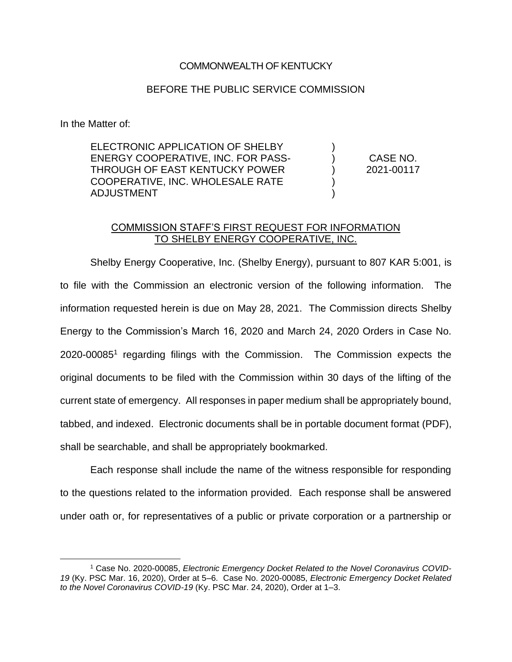## COMMONWEALTH OF KENTUCKY

## BEFORE THE PUBLIC SERVICE COMMISSION

In the Matter of:

ELECTRONIC APPLICATION OF SHELBY ENERGY COOPERATIVE, INC. FOR PASS-THROUGH OF EAST KENTUCKY POWER COOPERATIVE, INC. WHOLESALE RATE ADJUSTMENT

CASE NO. 2021-00117

) ) ) ) )

## COMMISSION STAFF'S FIRST REQUEST FOR INFORMATION TO SHELBY ENERGY COOPERATIVE, INC.

Shelby Energy Cooperative, Inc. (Shelby Energy), pursuant to 807 KAR 5:001, is to file with the Commission an electronic version of the following information. The information requested herein is due on May 28, 2021. The Commission directs Shelby Energy to the Commission's March 16, 2020 and March 24, 2020 Orders in Case No. 2020-00085<sup>1</sup> regarding filings with the Commission. The Commission expects the original documents to be filed with the Commission within 30 days of the lifting of the current state of emergency. All responses in paper medium shall be appropriately bound, tabbed, and indexed. Electronic documents shall be in portable document format (PDF), shall be searchable, and shall be appropriately bookmarked.

Each response shall include the name of the witness responsible for responding to the questions related to the information provided. Each response shall be answered under oath or, for representatives of a public or private corporation or a partnership or

<sup>1</sup> Case No. 2020-00085, *Electronic Emergency Docket Related to the Novel Coronavirus COVID-19* (Ky. PSC Mar. 16, 2020), Order at 5–6. Case No. 2020-00085, *Electronic Emergency Docket Related to the Novel Coronavirus COVID-19* (Ky. PSC Mar. 24, 2020), Order at 1–3.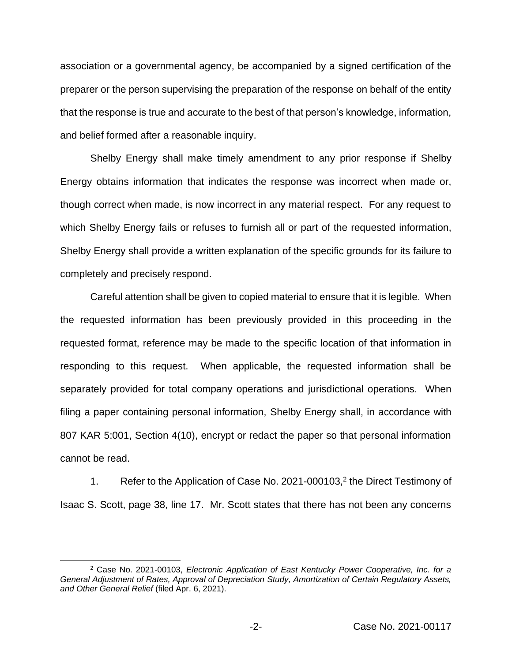association or a governmental agency, be accompanied by a signed certification of the preparer or the person supervising the preparation of the response on behalf of the entity that the response is true and accurate to the best of that person's knowledge, information, and belief formed after a reasonable inquiry.

Shelby Energy shall make timely amendment to any prior response if Shelby Energy obtains information that indicates the response was incorrect when made or, though correct when made, is now incorrect in any material respect. For any request to which Shelby Energy fails or refuses to furnish all or part of the requested information, Shelby Energy shall provide a written explanation of the specific grounds for its failure to completely and precisely respond.

Careful attention shall be given to copied material to ensure that it is legible. When the requested information has been previously provided in this proceeding in the requested format, reference may be made to the specific location of that information in responding to this request. When applicable, the requested information shall be separately provided for total company operations and jurisdictional operations. When filing a paper containing personal information, Shelby Energy shall, in accordance with 807 KAR 5:001, Section 4(10), encrypt or redact the paper so that personal information cannot be read.

1. Refer to the Application of Case No. 2021-000103,<sup>2</sup> the Direct Testimony of Isaac S. Scott, page 38, line 17. Mr. Scott states that there has not been any concerns

<sup>2</sup> Case No. 2021-00103, *Electronic Application of East Kentucky Power Cooperative, Inc. for a General Adjustment of Rates, Approval of Depreciation Study, Amortization of Certain Regulatory Assets, and Other General Relief* (filed Apr. 6, 2021).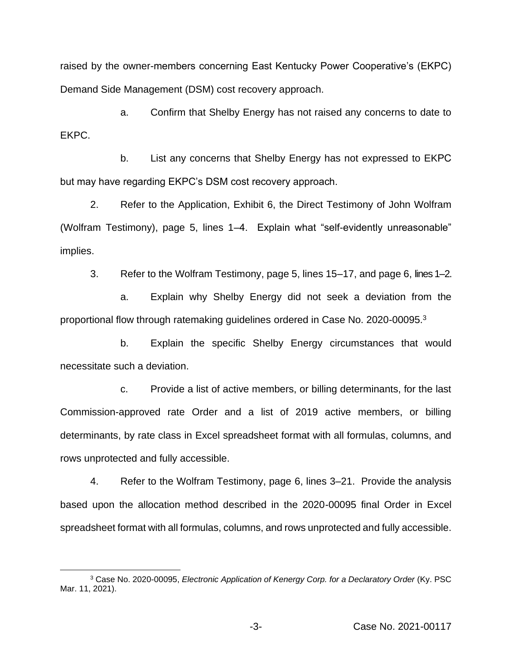raised by the owner-members concerning East Kentucky Power Cooperative's (EKPC) Demand Side Management (DSM) cost recovery approach.

a. Confirm that Shelby Energy has not raised any concerns to date to EKPC.

b. List any concerns that Shelby Energy has not expressed to EKPC but may have regarding EKPC's DSM cost recovery approach.

2. Refer to the Application, Exhibit 6, the Direct Testimony of John Wolfram (Wolfram Testimony), page 5, lines 1–4. Explain what "self-evidently unreasonable" implies.

3. Refer to the Wolfram Testimony, page 5, lines 15–17, and page 6, lines 1–2.

a. Explain why Shelby Energy did not seek a deviation from the proportional flow through ratemaking guidelines ordered in Case No. 2020-00095.<sup>3</sup>

b. Explain the specific Shelby Energy circumstances that would necessitate such a deviation.

c. Provide a list of active members, or billing determinants, for the last Commission-approved rate Order and a list of 2019 active members, or billing determinants, by rate class in Excel spreadsheet format with all formulas, columns, and rows unprotected and fully accessible.

4. Refer to the Wolfram Testimony, page 6, lines 3–21. Provide the analysis based upon the allocation method described in the 2020-00095 final Order in Excel spreadsheet format with all formulas, columns, and rows unprotected and fully accessible.

<sup>3</sup> Case No. 2020-00095, *Electronic Application of Kenergy Corp. for a Declaratory Order* (Ky. PSC Mar. 11, 2021).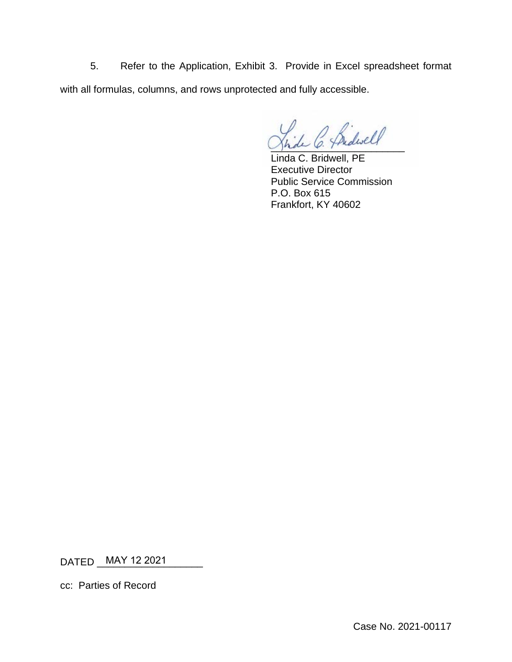5. Refer to the Application, Exhibit 3. Provide in Excel spreadsheet format with all formulas, columns, and rows unprotected and fully accessible.

\_\_\_\_\_\_\_\_\_\_\_\_\_\_\_\_\_\_\_\_\_\_\_\_

Linda C. Bridwell, PE Executive Director Public Service Commission P.O. Box 615 Frankfort, KY 40602

DATED \_\_\_\_\_\_\_\_\_\_\_\_\_\_\_\_\_\_\_ MAY 12 2021

cc: Parties of Record